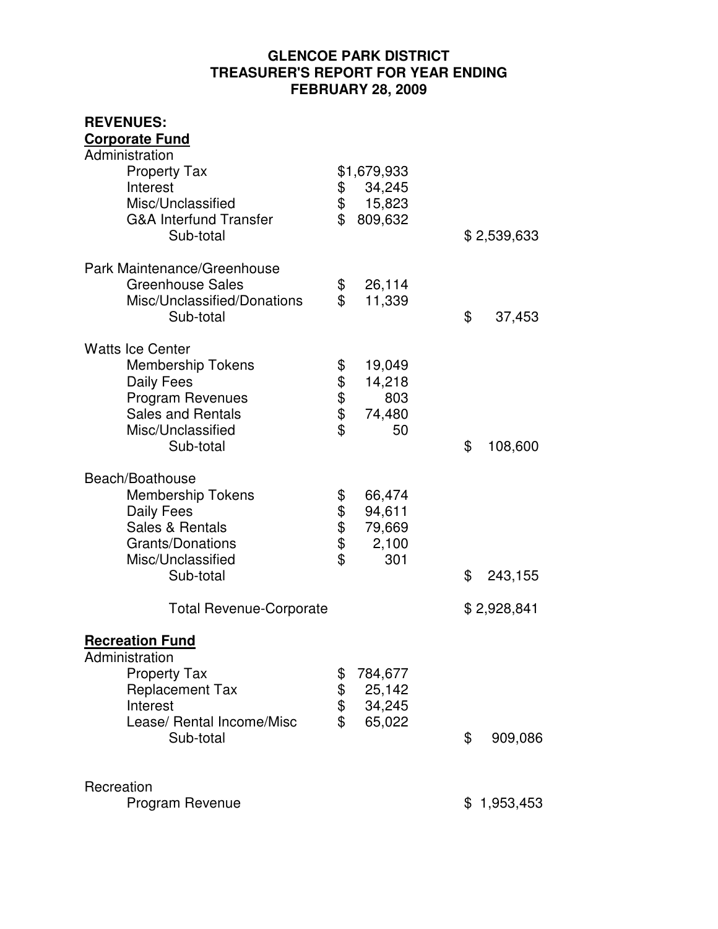## **GLENCOE PARK DISTRICT TREASURER'S REPORT FOR YEAR ENDING FEBRUARY 28, 2009**

| <b>REVENUES:</b>                                                                                                                                           |                      |                                            |               |
|------------------------------------------------------------------------------------------------------------------------------------------------------------|----------------------|--------------------------------------------|---------------|
| <b>Corporate Fund</b>                                                                                                                                      |                      |                                            |               |
| Administration<br><b>Property Tax</b><br>Interest<br>Misc/Unclassified<br><b>G&amp;A Interfund Transfer</b><br>Sub-total                                   | \$<br>\$<br>\$       | \$1,679,933<br>34,245<br>15,823<br>809,632 | \$2,539,633   |
| Park Maintenance/Greenhouse                                                                                                                                |                      |                                            |               |
| <b>Greenhouse Sales</b><br>Misc/Unclassified/Donations<br>Sub-total                                                                                        | \$<br>\$             | 26,114<br>11,339                           | \$<br>37,453  |
| <b>Watts Ice Center</b><br><b>Membership Tokens</b><br>Daily Fees<br><b>Program Revenues</b><br><b>Sales and Rentals</b><br>Misc/Unclassified<br>Sub-total | \$<br>\$\$<br>\$     | 19,049<br>14,218<br>803<br>74,480<br>50    | \$<br>108,600 |
| Beach/Boathouse<br><b>Membership Tokens</b><br>Daily Fees<br>Sales & Rentals<br><b>Grants/Donations</b><br>Misc/Unclassified<br>Sub-total                  | \$<br>\$\$\$\$       | 66,474<br>94,611<br>79,669<br>2,100<br>301 | \$<br>243,155 |
| <b>Total Revenue-Corporate</b>                                                                                                                             |                      |                                            | \$2,928,841   |
| <b>Recreation Fund</b><br>Administration<br><b>Property Tax</b><br><b>Replacement Tax</b><br>Interest<br>Lease/ Rental Income/Misc<br>Sub-total            | \$<br>\$<br>\$<br>\$ | 784,677<br>25,142<br>34,245<br>65,022      | \$<br>909,086 |
| Recreation<br>Program Revenue                                                                                                                              |                      |                                            | \$1,953,453   |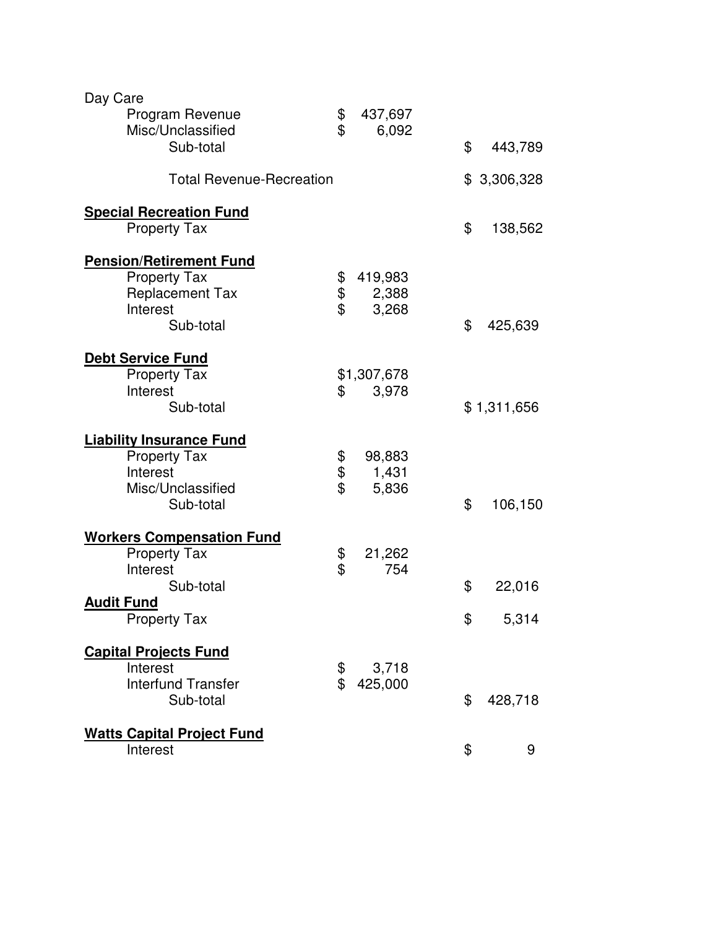| Day Care<br>Program Revenue<br>Misc/Unclassified                                                                             | \$<br>437,697<br>\$<br>6,092                |                             |
|------------------------------------------------------------------------------------------------------------------------------|---------------------------------------------|-----------------------------|
| Sub-total                                                                                                                    |                                             | \$<br>443,789               |
| <b>Total Revenue-Recreation</b>                                                                                              |                                             | \$3,306,328                 |
| <b>Special Recreation Fund</b><br><b>Property Tax</b>                                                                        |                                             | \$<br>138,562               |
| <b>Pension/Retirement Fund</b><br><b>Property Tax</b><br><b>Replacement Tax</b><br>Interest<br>Sub-total                     | 419,983<br>\$<br>\$<br>2,388<br>\$<br>3,268 | \$<br>425,639               |
| <b>Debt Service Fund</b><br><b>Property Tax</b><br>Interest<br>Sub-total                                                     | \$1,307,678<br>3,978<br>\$                  | \$1,311,656                 |
| <b>Liability Insurance Fund</b><br><b>Property Tax</b><br>Interest<br>Misc/Unclassified<br>Sub-total                         | 98,883<br>\$<br>\$<br>1,431<br>\$<br>5,836  | \$<br>106,150               |
| <b>Workers Compensation Fund</b><br><b>Property Tax</b><br>Interest<br>Sub-total<br><b>Audit Fund</b><br><b>Property Tax</b> | \$<br>21,262<br>\$<br>754                   | \$<br>22,016<br>\$<br>5,314 |
| <b>Capital Projects Fund</b><br>Interest<br><b>Interfund Transfer</b><br>Sub-total                                           | \$<br>3,718<br>\$<br>425,000                | \$<br>428,718               |
| <b>Watts Capital Project Fund</b><br>Interest                                                                                |                                             | \$<br>9                     |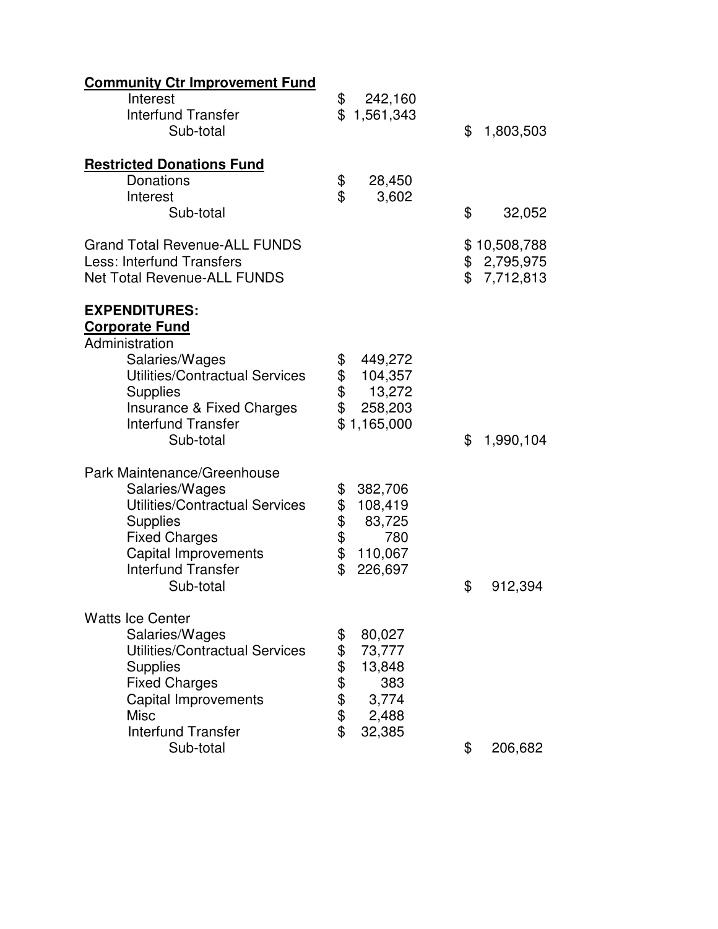| <b>Community Ctr Improvement Fund</b>                           |                                             |                |                           |
|-----------------------------------------------------------------|---------------------------------------------|----------------|---------------------------|
| Interest<br><b>Interfund Transfer</b>                           | \$<br>242,160<br>\$1,561,343                |                |                           |
| Sub-total                                                       |                                             | \$             | 1,803,503                 |
| <b>Restricted Donations Fund</b>                                |                                             |                |                           |
| Donations<br>Interest                                           | \$<br>28,450<br>$\mathbf{\hat{z}}$<br>3,602 |                |                           |
| Sub-total                                                       |                                             | \$             | 32,052                    |
| <b>Grand Total Revenue-ALL FUNDS</b>                            |                                             |                | \$10,508,788              |
| Less: Interfund Transfers<br><b>Net Total Revenue-ALL FUNDS</b> |                                             | $\mathfrak{S}$ | \$ 2,795,975<br>7,712,813 |
| <b>EXPENDITURES:</b><br><b>Corporate Fund</b>                   |                                             |                |                           |
| Administration                                                  |                                             |                |                           |
| Salaries/Wages<br>Utilities/Contractual Services                | 449,272<br>\$<br>\$<br>104,357              |                |                           |
| <b>Supplies</b>                                                 | \$<br>13,272                                |                |                           |
| Insurance & Fixed Charges                                       | \$<br>258,203                               |                |                           |
| <b>Interfund Transfer</b><br>Sub-total                          | \$1,165,000                                 | \$             | 1,990,104                 |
| Park Maintenance/Greenhouse                                     |                                             |                |                           |
| Salaries/Wages                                                  | \$<br>382,706                               |                |                           |
| <b>Utilities/Contractual Services</b>                           | \$<br>108,419                               |                |                           |
| <b>Supplies</b><br><b>Fixed Charges</b>                         | \$<br>83,725<br>\$<br>780                   |                |                           |
| Capital Improvements                                            | \$<br>110,067                               |                |                           |
| <b>Interfund Transfer</b>                                       | \$<br>226,697                               |                |                           |
| Sub-total                                                       |                                             | \$             | 912,394                   |
| <b>Watts Ice Center</b>                                         |                                             |                |                           |
| Salaries/Wages<br>Utilities/Contractual Services                | \$<br>80,027<br>\$<br>73,777                |                |                           |
| <b>Supplies</b>                                                 | 13,848                                      |                |                           |
| <b>Fixed Charges</b>                                            | \$\$\$\$<br>383                             |                |                           |
| <b>Capital Improvements</b>                                     | 3,774                                       |                |                           |
| <b>Misc</b><br><b>Interfund Transfer</b>                        | 2,488<br>\$<br>32,385                       |                |                           |
| Sub-total                                                       |                                             | \$             | 206,682                   |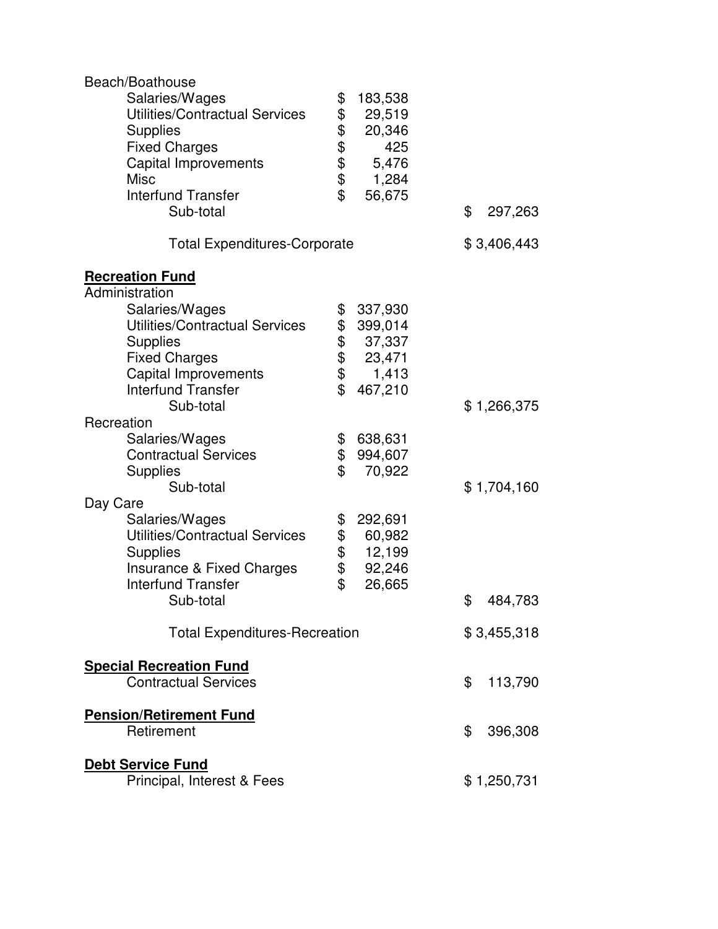| Beach/Boathouse                       |          |         |               |
|---------------------------------------|----------|---------|---------------|
| Salaries/Wages                        | \$       | 183,538 |               |
| <b>Utilities/Contractual Services</b> | \$       | 29,519  |               |
| <b>Supplies</b>                       |          | 20,346  |               |
| <b>Fixed Charges</b>                  | \$\$\$\$ | 425     |               |
| <b>Capital Improvements</b>           |          | 5,476   |               |
| <b>Misc</b>                           |          | 1,284   |               |
| <b>Interfund Transfer</b>             | \$       | 56,675  |               |
| Sub-total                             |          |         | \$<br>297,263 |
| <b>Total Expenditures-Corporate</b>   |          |         | \$3,406,443   |
|                                       |          |         |               |
| <b>Recreation Fund</b>                |          |         |               |
| Administration                        |          |         |               |
| Salaries/Wages                        | \$       | 337,930 |               |
| Utilities/Contractual Services        |          | 399,014 |               |
| <b>Supplies</b>                       | \$\$\$\$ | 37,337  |               |
| <b>Fixed Charges</b>                  |          | 23,471  |               |
| Capital Improvements                  |          | 1,413   |               |
| <b>Interfund Transfer</b>             | \$       | 467,210 |               |
| Sub-total                             |          |         | \$1,266,375   |
| Recreation                            |          |         |               |
| Salaries/Wages                        | \$       | 638,631 |               |
| <b>Contractual Services</b>           | \$       | 994,607 |               |
| <b>Supplies</b>                       | \$       | 70,922  |               |
| Sub-total                             |          |         | \$1,704,160   |
| Day Care                              |          |         |               |
| Salaries/Wages                        | \$       | 292,691 |               |
| <b>Utilities/Contractual Services</b> | \$       | 60,982  |               |
| <b>Supplies</b>                       | \$       | 12,199  |               |
| <b>Insurance &amp; Fixed Charges</b>  | \$       | 92,246  |               |
| <b>Interfund Transfer</b>             | \$       | 26,665  |               |
| Sub-total                             |          |         | \$<br>484,783 |
| <b>Total Expenditures-Recreation</b>  |          |         | \$3,455,318   |
| <b>Special Recreation Fund</b>        |          |         |               |
| <b>Contractual Services</b>           |          |         | \$<br>113,790 |
|                                       |          |         |               |
| <b>Pension/Retirement Fund</b>        |          |         |               |
| Retirement                            |          |         | \$<br>396,308 |
| <b>Debt Service Fund</b>              |          |         |               |
| Principal, Interest & Fees            |          |         | \$1,250,731   |
|                                       |          |         |               |